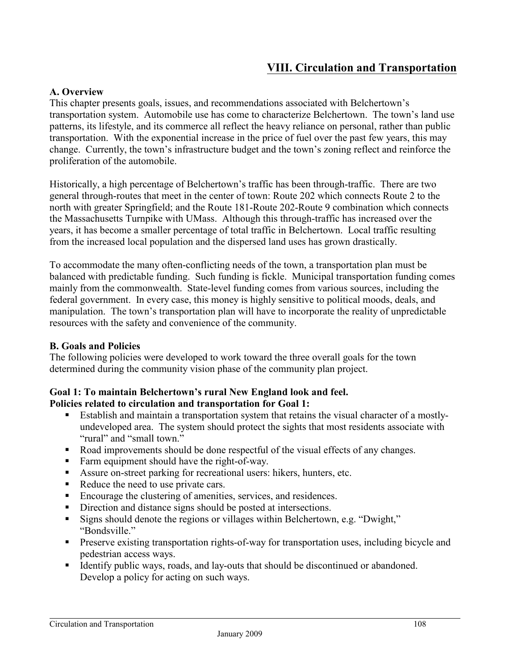# **VIII. Circulation and Transportation**

#### **A. Overview**

This chapter presents goals, issues, and recommendations associated with Belchertown's transportation system. Automobile use has come to characterize Belchertown. The town's land use patterns, its lifestyle, and its commerce all reflect the heavy reliance on personal, rather than public transportation. With the exponential increase in the price of fuel over the past few years, this may change. Currently, the town's infrastructure budget and the town's zoning reflect and reinforce the proliferation of the automobile.

Historically, a high percentage of Belchertown's traffic has been through-traffic. There are two general through-routes that meet in the center of town: Route 202 which connects Route 2 to the north with greater Springfield; and the Route 181-Route 202-Route 9 combination which connects the Massachusetts Turnpike with UMass. Although this through-traffic has increased over the years, it has become a smaller percentage of total traffic in Belchertown. Local traffic resulting from the increased local population and the dispersed land uses has grown drastically.

To accommodate the many often-conflicting needs of the town, a transportation plan must be balanced with predictable funding. Such funding is fickle. Municipal transportation funding comes mainly from the commonwealth. State-level funding comes from various sources, including the federal government. In every case, this money is highly sensitive to political moods, deals, and manipulation. The town's transportation plan will have to incorporate the reality of unpredictable resources with the safety and convenience of the community.

#### **B. Goals and Policies**

The following policies were developed to work toward the three overall goals for the town determined during the community vision phase of the community plan project.

# **Goal 1: To maintain Belchertown's rural New England look and feel.**

#### **Policies related to circulation and transportation for Goal 1:**

- Establish and maintain a transportation system that retains the visual character of a mostlyundeveloped area. The system should protect the sights that most residents associate with "rural" and "small town."
- Road improvements should be done respectful of the visual effects of any changes.
- Farm equipment should have the right-of-way.
- Assure on-street parking for recreational users: hikers, hunters, etc.
- Reduce the need to use private cars.
- Encourage the clustering of amenities, services, and residences.
- Direction and distance signs should be posted at intersections.
- Signs should denote the regions or villages within Belchertown, e.g. "Dwight," "Bondsville."
- **Preserve existing transportation rights-of-way for transportation uses, including bicycle and** pedestrian access ways.
- Identify public ways, roads, and lay-outs that should be discontinued or abandoned. Develop a policy for acting on such ways.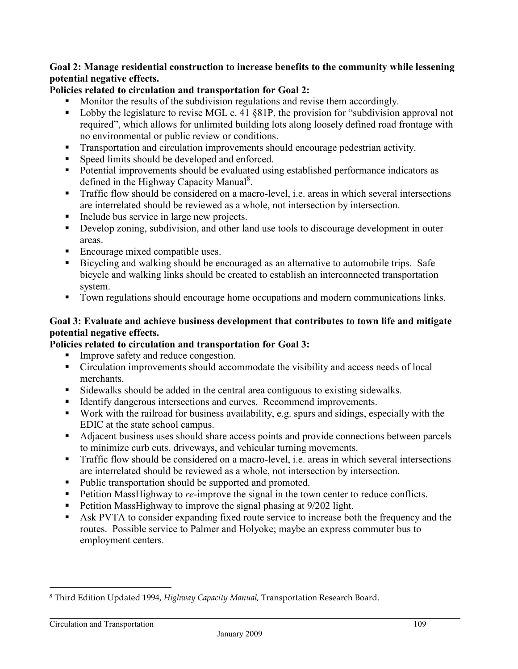#### **Goal 2: Manage residential construction to increase benefits to the community while lessening potential negative effects.**

## **Policies related to circulation and transportation for Goal 2:**

- Monitor the results of the subdivision regulations and revise them accordingly.
- Lobby the legislature to revise MGL c. 41 §81P, the provision for "subdivision approval not required", which allows for unlimited building lots along loosely defined road frontage with no environmental or public review or conditions.
- **Transportation and circulation improvements should encourage pedestrian activity.**
- Speed limits should be developed and enforced.
- Potential improvements should be evaluated using established performance indicators as defined in the Highway Capacity Manual<sup>8</sup>.
- Traffic flow should be considered on a macro-level, i.e. areas in which several intersections are interrelated should be reviewed as a whole, not intersection by intersection.
- Include bus service in large new projects.
- Develop zoning, subdivision, and other land use tools to discourage development in outer areas.
- Encourage mixed compatible uses.
- Bicycling and walking should be encouraged as an alternative to automobile trips. Safe bicycle and walking links should be created to establish an interconnected transportation system.
- Town regulations should encourage home occupations and modern communications links.

#### **Goal 3: Evaluate and achieve business development that contributes to town life and mitigate potential negative effects.**

#### **Policies related to circulation and transportation for Goal 3:**

- Improve safety and reduce congestion.
- Circulation improvements should accommodate the visibility and access needs of local merchants.
- Sidewalks should be added in the central area contiguous to existing sidewalks.
- Identify dangerous intersections and curves. Recommend improvements.
- Work with the railroad for business availability, e.g. spurs and sidings, especially with the EDIC at the state school campus.
- Adjacent business uses should share access points and provide connections between parcels to minimize curb cuts, driveways, and vehicular turning movements.
- Traffic flow should be considered on a macro-level, i.e. areas in which several intersections are interrelated should be reviewed as a whole, not intersection by intersection.
- Public transportation should be supported and promoted.
- Petition MassHighway to *re*-improve the signal in the town center to reduce conflicts.
- **•** Petition MassHighway to improve the signal phasing at 9/202 light.
- Ask PVTA to consider expanding fixed route service to increase both the frequency and the routes. Possible service to Palmer and Holyoke; maybe an express commuter bus to employment centers.

 $\overline{a}$ 

<sup>8</sup> Third Edition Updated 1994, *Highway Capacity Manual,* Transportation Research Board.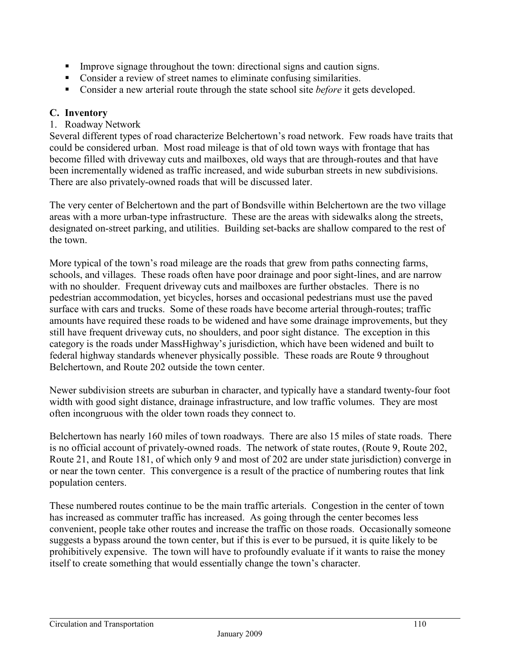- Improve signage throughout the town: directional signs and caution signs.
- Consider a review of street names to eliminate confusing similarities.
- Consider a new arterial route through the state school site *before* it gets developed.

#### **C. Inventory**

#### 1. Roadway Network

Several different types of road characterize Belchertown's road network. Few roads have traits that could be considered urban. Most road mileage is that of old town ways with frontage that has become filled with driveway cuts and mailboxes, old ways that are through-routes and that have been incrementally widened as traffic increased, and wide suburban streets in new subdivisions. There are also privately-owned roads that will be discussed later.

The very center of Belchertown and the part of Bondsville within Belchertown are the two village areas with a more urban-type infrastructure. These are the areas with sidewalks along the streets, designated on-street parking, and utilities. Building set-backs are shallow compared to the rest of the town.

More typical of the town's road mileage are the roads that grew from paths connecting farms, schools, and villages. These roads often have poor drainage and poor sight-lines, and are narrow with no shoulder. Frequent driveway cuts and mailboxes are further obstacles. There is no pedestrian accommodation, yet bicycles, horses and occasional pedestrians must use the paved surface with cars and trucks. Some of these roads have become arterial through-routes; traffic amounts have required these roads to be widened and have some drainage improvements, but they still have frequent driveway cuts, no shoulders, and poor sight distance. The exception in this category is the roads under MassHighway's jurisdiction, which have been widened and built to federal highway standards whenever physically possible. These roads are Route 9 throughout Belchertown, and Route 202 outside the town center.

Newer subdivision streets are suburban in character, and typically have a standard twenty-four foot width with good sight distance, drainage infrastructure, and low traffic volumes. They are most often incongruous with the older town roads they connect to.

Belchertown has nearly 160 miles of town roadways. There are also 15 miles of state roads. There is no official account of privately-owned roads. The network of state routes, (Route 9, Route 202, Route 21, and Route 181, of which only 9 and most of 202 are under state jurisdiction) converge in or near the town center. This convergence is a result of the practice of numbering routes that link population centers.

These numbered routes continue to be the main traffic arterials. Congestion in the center of town has increased as commuter traffic has increased. As going through the center becomes less convenient, people take other routes and increase the traffic on those roads. Occasionally someone suggests a bypass around the town center, but if this is ever to be pursued, it is quite likely to be prohibitively expensive. The town will have to profoundly evaluate if it wants to raise the money itself to create something that would essentially change the town's character.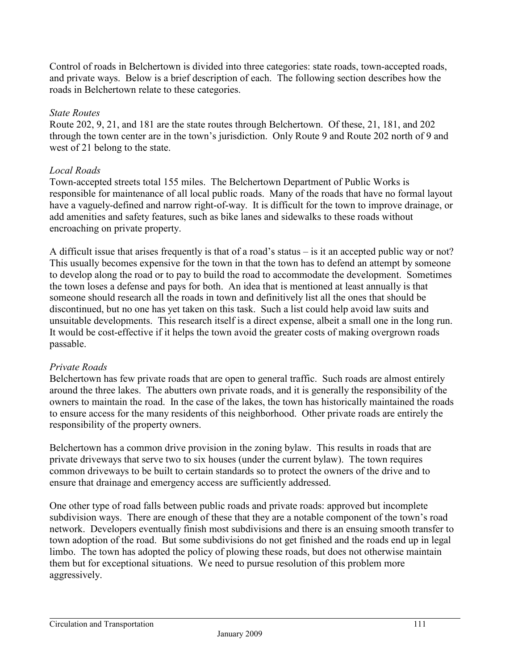Control of roads in Belchertown is divided into three categories: state roads, town-accepted roads, and private ways. Below is a brief description of each. The following section describes how the roads in Belchertown relate to these categories.

#### *State Routes*

Route 202, 9, 21, and 181 are the state routes through Belchertown. Of these, 21, 181, and 202 through the town center are in the town's jurisdiction. Only Route 9 and Route 202 north of 9 and west of 21 belong to the state.

#### *Local Roads*

Town-accepted streets total 155 miles. The Belchertown Department of Public Works is responsible for maintenance of all local public roads. Many of the roads that have no formal layout have a vaguely-defined and narrow right-of-way. It is difficult for the town to improve drainage, or add amenities and safety features, such as bike lanes and sidewalks to these roads without encroaching on private property.

A difficult issue that arises frequently is that of a road's status – is it an accepted public way or not? This usually becomes expensive for the town in that the town has to defend an attempt by someone to develop along the road or to pay to build the road to accommodate the development. Sometimes the town loses a defense and pays for both. An idea that is mentioned at least annually is that someone should research all the roads in town and definitively list all the ones that should be discontinued, but no one has yet taken on this task. Such a list could help avoid law suits and unsuitable developments. This research itself is a direct expense, albeit a small one in the long run. It would be cost-effective if it helps the town avoid the greater costs of making overgrown roads passable.

#### *Private Roads*

Belchertown has few private roads that are open to general traffic. Such roads are almost entirely around the three lakes. The abutters own private roads, and it is generally the responsibility of the owners to maintain the road. In the case of the lakes, the town has historically maintained the roads to ensure access for the many residents of this neighborhood. Other private roads are entirely the responsibility of the property owners.

Belchertown has a common drive provision in the zoning bylaw. This results in roads that are private driveways that serve two to six houses (under the current bylaw). The town requires common driveways to be built to certain standards so to protect the owners of the drive and to ensure that drainage and emergency access are sufficiently addressed.

One other type of road falls between public roads and private roads: approved but incomplete subdivision ways. There are enough of these that they are a notable component of the town's road network. Developers eventually finish most subdivisions and there is an ensuing smooth transfer to town adoption of the road. But some subdivisions do not get finished and the roads end up in legal limbo. The town has adopted the policy of plowing these roads, but does not otherwise maintain them but for exceptional situations. We need to pursue resolution of this problem more aggressively.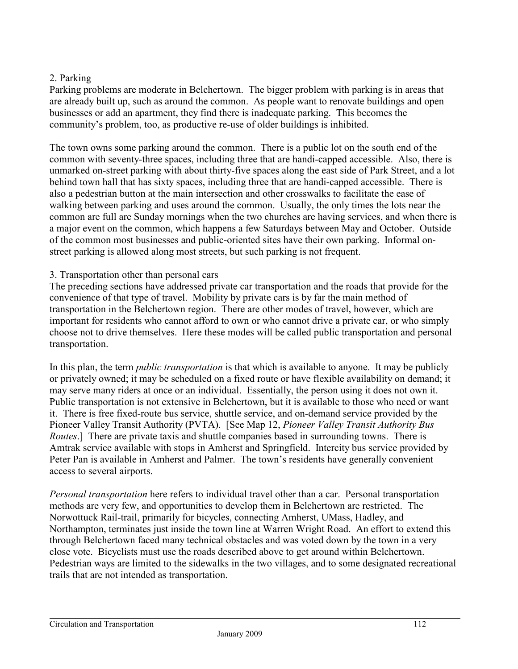#### 2. Parking

Parking problems are moderate in Belchertown. The bigger problem with parking is in areas that are already built up, such as around the common. As people want to renovate buildings and open businesses or add an apartment, they find there is inadequate parking. This becomes the community's problem, too, as productive re-use of older buildings is inhibited.

The town owns some parking around the common. There is a public lot on the south end of the common with seventy-three spaces, including three that are handi-capped accessible. Also, there is unmarked on-street parking with about thirty-five spaces along the east side of Park Street, and a lot behind town hall that has sixty spaces, including three that are handi-capped accessible. There is also a pedestrian button at the main intersection and other crosswalks to facilitate the ease of walking between parking and uses around the common. Usually, the only times the lots near the common are full are Sunday mornings when the two churches are having services, and when there is a major event on the common, which happens a few Saturdays between May and October. Outside of the common most businesses and public-oriented sites have their own parking. Informal onstreet parking is allowed along most streets, but such parking is not frequent.

#### 3. Transportation other than personal cars

The preceding sections have addressed private car transportation and the roads that provide for the convenience of that type of travel. Mobility by private cars is by far the main method of transportation in the Belchertown region. There are other modes of travel, however, which are important for residents who cannot afford to own or who cannot drive a private car, or who simply choose not to drive themselves. Here these modes will be called public transportation and personal transportation.

In this plan, the term *public transportation* is that which is available to anyone. It may be publicly or privately owned; it may be scheduled on a fixed route or have flexible availability on demand; it may serve many riders at once or an individual. Essentially, the person using it does not own it. Public transportation is not extensive in Belchertown, but it is available to those who need or want it. There is free fixed-route bus service, shuttle service, and on-demand service provided by the Pioneer Valley Transit Authority (PVTA). [See Map 12, *Pioneer Valley Transit Authority Bus Routes*.] There are private taxis and shuttle companies based in surrounding towns. There is Amtrak service available with stops in Amherst and Springfield. Intercity bus service provided by Peter Pan is available in Amherst and Palmer. The town's residents have generally convenient access to several airports.

*Personal transportation* here refers to individual travel other than a car. Personal transportation methods are very few, and opportunities to develop them in Belchertown are restricted. The Norwottuck Rail-trail, primarily for bicycles, connecting Amherst, UMass, Hadley, and Northampton, terminates just inside the town line at Warren Wright Road. An effort to extend this through Belchertown faced many technical obstacles and was voted down by the town in a very close vote. Bicyclists must use the roads described above to get around within Belchertown. Pedestrian ways are limited to the sidewalks in the two villages, and to some designated recreational trails that are not intended as transportation.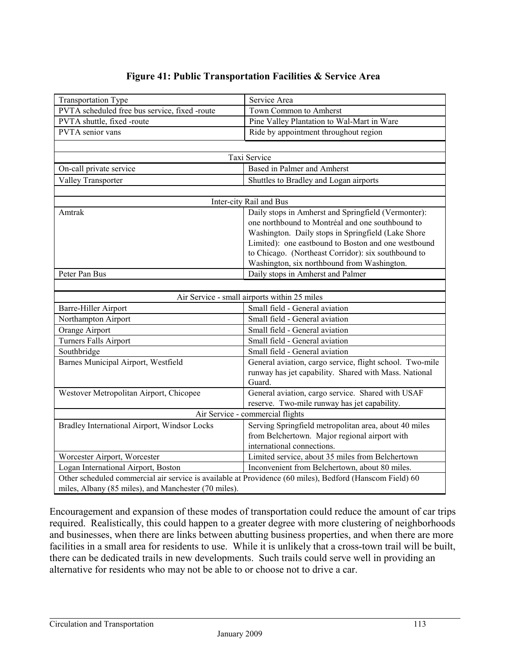# **Figure 41: Public Transportation Facilities & Service Area**

|                                                                                                          | Service Area                                                                |  |  |  |
|----------------------------------------------------------------------------------------------------------|-----------------------------------------------------------------------------|--|--|--|
| <b>Transportation Type</b><br>PVTA scheduled free bus service, fixed -route                              | Town Common to Amherst                                                      |  |  |  |
| PVTA shuttle, fixed -route                                                                               | Pine Valley Plantation to Wal-Mart in Ware                                  |  |  |  |
| PVTA senior vans                                                                                         | Ride by appointment throughout region                                       |  |  |  |
|                                                                                                          |                                                                             |  |  |  |
|                                                                                                          |                                                                             |  |  |  |
|                                                                                                          | Taxi Service                                                                |  |  |  |
| On-call private service                                                                                  | Based in Palmer and Amherst                                                 |  |  |  |
| Valley Transporter                                                                                       | Shuttles to Bradley and Logan airports                                      |  |  |  |
|                                                                                                          |                                                                             |  |  |  |
|                                                                                                          | Inter-city Rail and Bus                                                     |  |  |  |
| Amtrak                                                                                                   | Daily stops in Amherst and Springfield (Vermonter):                         |  |  |  |
|                                                                                                          | one northbound to Montréal and one southbound to                            |  |  |  |
|                                                                                                          | Washington. Daily stops in Springfield (Lake Shore                          |  |  |  |
|                                                                                                          | Limited): one eastbound to Boston and one westbound                         |  |  |  |
|                                                                                                          | to Chicago. (Northeast Corridor): six southbound to                         |  |  |  |
|                                                                                                          | Washington, six northbound from Washington.                                 |  |  |  |
| Peter Pan Bus                                                                                            | Daily stops in Amherst and Palmer                                           |  |  |  |
|                                                                                                          |                                                                             |  |  |  |
|                                                                                                          | Air Service - small airports within 25 miles                                |  |  |  |
| Barre-Hiller Airport                                                                                     | Small field - General aviation                                              |  |  |  |
| Northampton Airport                                                                                      | Small field - General aviation                                              |  |  |  |
|                                                                                                          |                                                                             |  |  |  |
| Orange Airport                                                                                           | Small field - General aviation                                              |  |  |  |
| <b>Turners Falls Airport</b>                                                                             | Small field - General aviation                                              |  |  |  |
| Southbridge                                                                                              | Small field - General aviation                                              |  |  |  |
| Barnes Municipal Airport, Westfield                                                                      | General aviation, cargo service, flight school. Two-mile                    |  |  |  |
|                                                                                                          | runway has jet capability. Shared with Mass. National                       |  |  |  |
|                                                                                                          | Guard.                                                                      |  |  |  |
| Westover Metropolitan Airport, Chicopee                                                                  | General aviation, cargo service. Shared with USAF                           |  |  |  |
|                                                                                                          | reserve. Two-mile runway has jet capability.                                |  |  |  |
|                                                                                                          | Air Service - commercial flights                                            |  |  |  |
|                                                                                                          |                                                                             |  |  |  |
| Bradley International Airport, Windsor Locks                                                             | Serving Springfield metropolitan area, about 40 miles                       |  |  |  |
|                                                                                                          | from Belchertown. Major regional airport with<br>international connections. |  |  |  |
| Worcester Airport, Worcester                                                                             | Limited service, about 35 miles from Belchertown                            |  |  |  |
| Logan International Airport, Boston                                                                      | Inconvenient from Belchertown, about 80 miles.                              |  |  |  |
| Other scheduled commercial air service is available at Providence (60 miles), Bedford (Hanscom Field) 60 |                                                                             |  |  |  |

Encouragement and expansion of these modes of transportation could reduce the amount of car trips required. Realistically, this could happen to a greater degree with more clustering of neighborhoods and businesses, when there are links between abutting business properties, and when there are more facilities in a small area for residents to use. While it is unlikely that a cross-town trail will be built, there can be dedicated trails in new developments. Such trails could serve well in providing an alternative for residents who may not be able to or choose not to drive a car.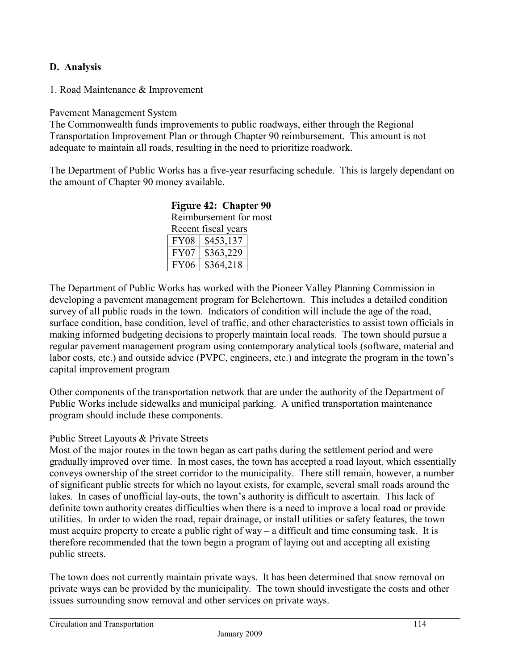## **D. Analysis**

1. Road Maintenance & Improvement

#### Pavement Management System

The Commonwealth funds improvements to public roadways, either through the Regional Transportation Improvement Plan or through Chapter 90 reimbursement. This amount is not adequate to maintain all roads, resulting in the need to prioritize roadwork.

The Department of Public Works has a five-year resurfacing schedule. This is largely dependant on the amount of Chapter 90 money available.

| Reimbursement for most |                  |  |  |  |
|------------------------|------------------|--|--|--|
| Recent fiscal years    |                  |  |  |  |
|                        | FY08   \$453,137 |  |  |  |
| FY07                   | \$363,229        |  |  |  |
| ' FY06                 | \$364.218        |  |  |  |

**Figure 42: Chapter 90** 

The Department of Public Works has worked with the Pioneer Valley Planning Commission in developing a pavement management program for Belchertown. This includes a detailed condition survey of all public roads in the town. Indicators of condition will include the age of the road, surface condition, base condition, level of traffic, and other characteristics to assist town officials in making informed budgeting decisions to properly maintain local roads. The town should pursue a regular pavement management program using contemporary analytical tools (software, material and labor costs, etc.) and outside advice (PVPC, engineers, etc.) and integrate the program in the town's capital improvement program

Other components of the transportation network that are under the authority of the Department of Public Works include sidewalks and municipal parking. A unified transportation maintenance program should include these components.

#### Public Street Layouts & Private Streets

Most of the major routes in the town began as cart paths during the settlement period and were gradually improved over time. In most cases, the town has accepted a road layout, which essentially conveys ownership of the street corridor to the municipality. There still remain, however, a number of significant public streets for which no layout exists, for example, several small roads around the lakes. In cases of unofficial lay-outs, the town's authority is difficult to ascertain. This lack of definite town authority creates difficulties when there is a need to improve a local road or provide utilities. In order to widen the road, repair drainage, or install utilities or safety features, the town must acquire property to create a public right of way – a difficult and time consuming task. It is therefore recommended that the town begin a program of laying out and accepting all existing public streets.

The town does not currently maintain private ways. It has been determined that snow removal on private ways can be provided by the municipality. The town should investigate the costs and other issues surrounding snow removal and other services on private ways.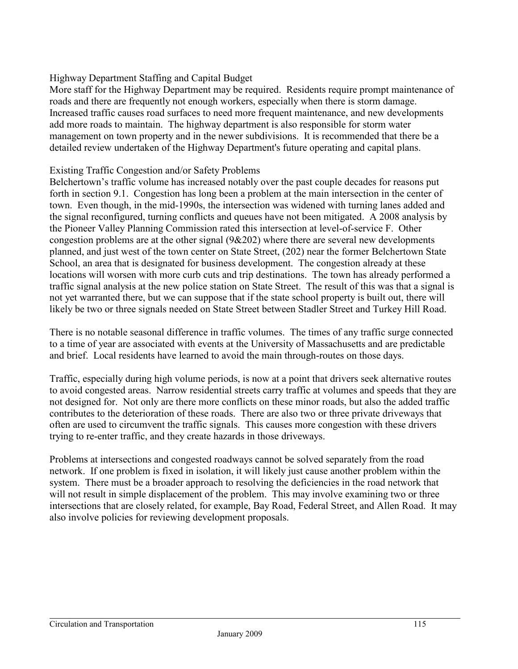## Highway Department Staffing and Capital Budget

More staff for the Highway Department may be required. Residents require prompt maintenance of roads and there are frequently not enough workers, especially when there is storm damage. Increased traffic causes road surfaces to need more frequent maintenance, and new developments add more roads to maintain. The highway department is also responsible for storm water management on town property and in the newer subdivisions. It is recommended that there be a detailed review undertaken of the Highway Department's future operating and capital plans.

#### Existing Traffic Congestion and/or Safety Problems

Belchertown's traffic volume has increased notably over the past couple decades for reasons put forth in section 9.1. Congestion has long been a problem at the main intersection in the center of town. Even though, in the mid-1990s, the intersection was widened with turning lanes added and the signal reconfigured, turning conflicts and queues have not been mitigated. A 2008 analysis by the Pioneer Valley Planning Commission rated this intersection at level-of-service F. Other congestion problems are at the other signal (9&202) where there are several new developments planned, and just west of the town center on State Street, (202) near the former Belchertown State School, an area that is designated for business development. The congestion already at these locations will worsen with more curb cuts and trip destinations. The town has already performed a traffic signal analysis at the new police station on State Street. The result of this was that a signal is not yet warranted there, but we can suppose that if the state school property is built out, there will likely be two or three signals needed on State Street between Stadler Street and Turkey Hill Road.

There is no notable seasonal difference in traffic volumes. The times of any traffic surge connected to a time of year are associated with events at the University of Massachusetts and are predictable and brief. Local residents have learned to avoid the main through-routes on those days.

Traffic, especially during high volume periods, is now at a point that drivers seek alternative routes to avoid congested areas. Narrow residential streets carry traffic at volumes and speeds that they are not designed for. Not only are there more conflicts on these minor roads, but also the added traffic contributes to the deterioration of these roads. There are also two or three private driveways that often are used to circumvent the traffic signals. This causes more congestion with these drivers trying to re-enter traffic, and they create hazards in those driveways.

Problems at intersections and congested roadways cannot be solved separately from the road network. If one problem is fixed in isolation, it will likely just cause another problem within the system. There must be a broader approach to resolving the deficiencies in the road network that will not result in simple displacement of the problem. This may involve examining two or three intersections that are closely related, for example, Bay Road, Federal Street, and Allen Road. It may also involve policies for reviewing development proposals.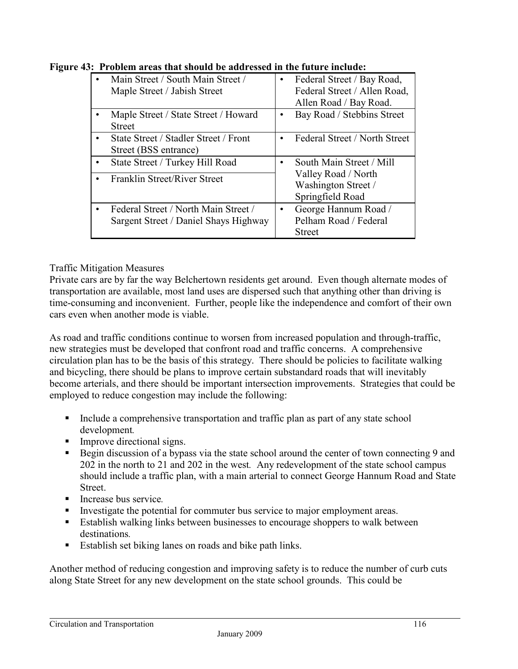| Main Street / South Main Street /<br>Maple Street / Jabish Street             | $\bullet$ | Federal Street / Bay Road,<br>Federal Street / Allen Road,<br>Allen Road / Bay Road. |
|-------------------------------------------------------------------------------|-----------|--------------------------------------------------------------------------------------|
| Maple Street / State Street / Howard<br><b>Street</b>                         |           | Bay Road / Stebbins Street                                                           |
| State Street / Stadler Street / Front<br>Street (BSS entrance)                | $\bullet$ | Federal Street / North Street                                                        |
| State Street / Turkey Hill Road                                               | $\bullet$ | South Main Street / Mill                                                             |
| Franklin Street/River Street                                                  |           | Valley Road / North<br>Washington Street /<br>Springfield Road                       |
| Federal Street / North Main Street /<br>Sargent Street / Daniel Shays Highway | ٠         | George Hannum Road /<br>Pelham Road / Federal<br><b>Street</b>                       |

**Figure 43: Problem areas that should be addressed in the future include:** 

## Traffic Mitigation Measures

Private cars are by far the way Belchertown residents get around. Even though alternate modes of transportation are available, most land uses are dispersed such that anything other than driving is time-consuming and inconvenient. Further, people like the independence and comfort of their own cars even when another mode is viable.

As road and traffic conditions continue to worsen from increased population and through-traffic, new strategies must be developed that confront road and traffic concerns. A comprehensive circulation plan has to be the basis of this strategy. There should be policies to facilitate walking and bicycling, there should be plans to improve certain substandard roads that will inevitably become arterials, and there should be important intersection improvements. Strategies that could be employed to reduce congestion may include the following:

- Include a comprehensive transportation and traffic plan as part of any state school development*.*
- **Improve directional signs.**
- Begin discussion of a bypass via the state school around the center of town connecting 9 and 202 in the north to 21 and 202 in the west*.* Any redevelopment of the state school campus should include a traffic plan, with a main arterial to connect George Hannum Road and State **Street**.
- Increase bus service.
- Investigate the potential for commuter bus service to major employment areas.
- Establish walking links between businesses to encourage shoppers to walk between destinations*.*
- Establish set biking lanes on roads and bike path links.

Another method of reducing congestion and improving safety is to reduce the number of curb cuts along State Street for any new development on the state school grounds. This could be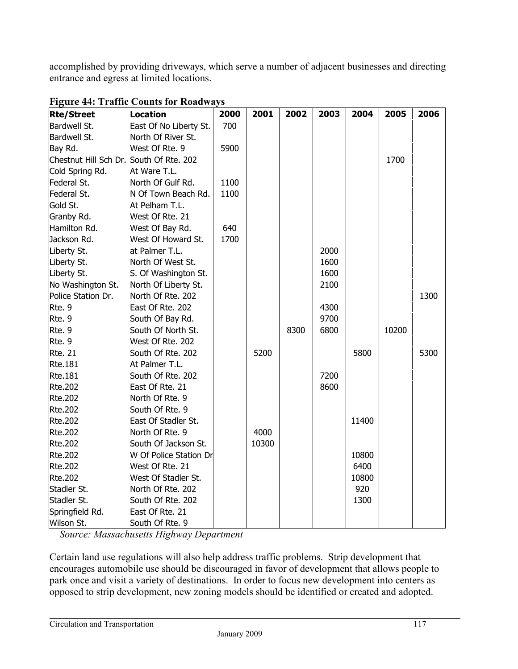accomplished by providing driveways, which serve a number of adjacent businesses and directing entrance and egress at limited locations.

| <b>Rte/Street</b>                       | <b>Location</b>        | 2000 | 2001  | 2002 | 2003 | 2004  | 2005  | 2006 |
|-----------------------------------------|------------------------|------|-------|------|------|-------|-------|------|
| Bardwell St.                            | East Of No Liberty St. | 700  |       |      |      |       |       |      |
| Bardwell St.                            | North Of River St.     |      |       |      |      |       |       |      |
| Bay Rd.                                 | West Of Rte. 9         | 5900 |       |      |      |       |       |      |
| Chestnut Hill Sch Dr. South Of Rte. 202 |                        |      |       |      |      |       | 1700  |      |
| Cold Spring Rd.                         | At Ware T.L.           |      |       |      |      |       |       |      |
| Federal St.                             | North Of Gulf Rd.      | 1100 |       |      |      |       |       |      |
| Federal St.                             | N Of Town Beach Rd.    | 1100 |       |      |      |       |       |      |
| Gold St.                                | At Pelham T.L.         |      |       |      |      |       |       |      |
| Granby Rd.                              | West Of Rte. 21        |      |       |      |      |       |       |      |
| Hamilton Rd.                            | West Of Bay Rd.        | 640  |       |      |      |       |       |      |
| Jackson Rd.                             | West Of Howard St.     | 1700 |       |      |      |       |       |      |
| Liberty St.                             | at Palmer T.L.         |      |       |      | 2000 |       |       |      |
| Liberty St.                             | North Of West St.      |      |       |      | 1600 |       |       |      |
| Liberty St.                             | S. Of Washington St.   |      |       |      | 1600 |       |       |      |
| No Washington St.                       | North Of Liberty St.   |      |       |      | 2100 |       |       |      |
| Police Station Dr.                      | North Of Rte. 202      |      |       |      |      |       |       | 1300 |
| Rte. 9                                  | East Of Rte. 202       |      |       |      | 4300 |       |       |      |
| Rte. 9                                  | South Of Bay Rd.       |      |       |      | 9700 |       |       |      |
| Rte. 9                                  | South Of North St.     |      |       | 8300 | 6800 |       | 10200 |      |
| Rte. 9                                  | West Of Rte. 202       |      |       |      |      |       |       |      |
| <b>Rte. 21</b>                          | South Of Rte. 202      |      | 5200  |      |      | 5800  |       | 5300 |
| Rte.181                                 | At Palmer T.L.         |      |       |      |      |       |       |      |
| Rte.181                                 | South Of Rte. 202      |      |       |      | 7200 |       |       |      |
| Rte.202                                 | East Of Rte. 21        |      |       |      | 8600 |       |       |      |
| Rte.202                                 | North Of Rte. 9        |      |       |      |      |       |       |      |
| Rte.202                                 | South Of Rte. 9        |      |       |      |      |       |       |      |
| <b>Rte.202</b>                          | East Of Stadler St.    |      |       |      |      | 11400 |       |      |
| Rte.202                                 | North Of Rte. 9        |      | 4000  |      |      |       |       |      |
| Rte.202                                 | South Of Jackson St.   |      | 10300 |      |      |       |       |      |
| Rte.202                                 | W Of Police Station Dr |      |       |      |      | 10800 |       |      |
| Rte.202                                 | West Of Rte. 21        |      |       |      |      | 6400  |       |      |
| <b>Rte.202</b>                          | West Of Stadler St.    |      |       |      |      | 10800 |       |      |
| Stadler St.                             | North Of Rte. 202      |      |       |      |      | 920   |       |      |
| Stadler St.                             | South Of Rte. 202      |      |       |      |      | 1300  |       |      |
| Springfield Rd.                         | East Of Rte. 21        |      |       |      |      |       |       |      |
| Wilson St.                              | South Of Rte. 9        |      |       |      |      |       |       |      |

#### **Figure 44: Traffic Counts for Roadways**

 *Source: Massachusetts Highway Department* 

Certain land use regulations will also help address traffic problems. Strip development that encourages automobile use should be discouraged in favor of development that allows people to park once and visit a variety of destinations. In order to focus new development into centers as opposed to strip development, new zoning models should be identified or created and adopted.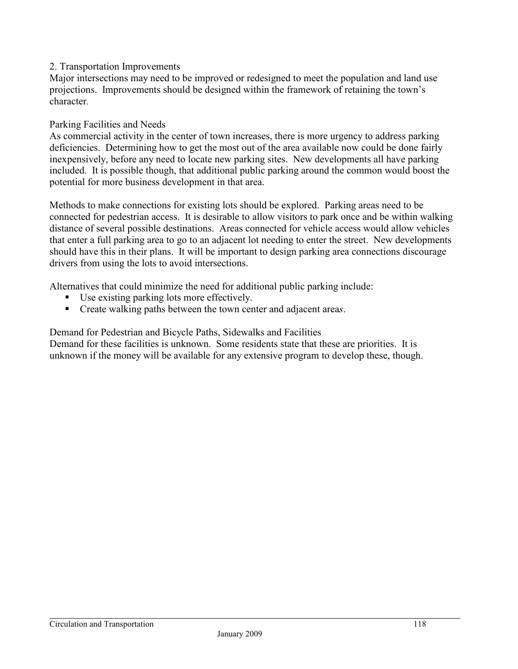#### 2. Transportation Improvements

Major intersections may need to be improved or redesigned to meet the population and land use projections. Improvements should be designed within the framework of retaining the town's character*.*

#### Parking Facilities and Needs

As commercial activity in the center of town increases, there is more urgency to address parking deficiencies. Determining how to get the most out of the area available now could be done fairly inexpensively, before any need to locate new parking sites. New developments all have parking included. It is possible though, that additional public parking around the common would boost the potential for more business development in that area.

Methods to make connections for existing lots should be explored. Parking areas need to be connected for pedestrian access. It is desirable to allow visitors to park once and be within walking distance of several possible destinations. Areas connected for vehicle access would allow vehicles that enter a full parking area to go to an adjacent lot needing to enter the street. New developments should have this in their plans. It will be important to design parking area connections discourage drivers from using the lots to avoid intersections.

Alternatives that could minimize the need for additional public parking include:

- Use existing parking lots more effectively.
- Create walking paths between the town center and adjacent area*s*.

Demand for Pedestrian and Bicycle Paths, Sidewalks and Facilities

Demand for these facilities is unknown. Some residents state that these are priorities. It is unknown if the money will be available for any extensive program to develop these, though.